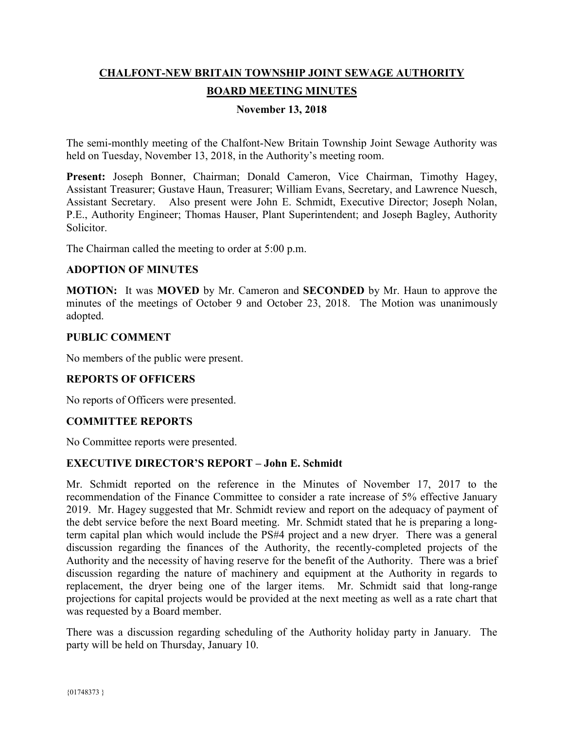# **CHALFONT-NEW BRITAIN TOWNSHIP JOINT SEWAGE AUTHORITY BOARD MEETING MINUTES**

## **November 13, 2018**

The semi-monthly meeting of the Chalfont-New Britain Township Joint Sewage Authority was held on Tuesday, November 13, 2018, in the Authority's meeting room.

**Present:** Joseph Bonner, Chairman; Donald Cameron, Vice Chairman, Timothy Hagey, Assistant Treasurer; Gustave Haun, Treasurer; William Evans, Secretary, and Lawrence Nuesch, Assistant Secretary. Also present were John E. Schmidt, Executive Director; Joseph Nolan, P.E., Authority Engineer; Thomas Hauser, Plant Superintendent; and Joseph Bagley, Authority Solicitor.

The Chairman called the meeting to order at 5:00 p.m.

#### **ADOPTION OF MINUTES**

**MOTION:** It was **MOVED** by Mr. Cameron and **SECONDED** by Mr. Haun to approve the minutes of the meetings of October 9 and October 23, 2018. The Motion was unanimously adopted.

#### **PUBLIC COMMENT**

No members of the public were present.

#### **REPORTS OF OFFICERS**

No reports of Officers were presented.

#### **COMMITTEE REPORTS**

No Committee reports were presented.

#### **EXECUTIVE DIRECTOR'S REPORT – John E. Schmidt**

Mr. Schmidt reported on the reference in the Minutes of November 17, 2017 to the recommendation of the Finance Committee to consider a rate increase of 5% effective January 2019. Mr. Hagey suggested that Mr. Schmidt review and report on the adequacy of payment of the debt service before the next Board meeting. Mr. Schmidt stated that he is preparing a longterm capital plan which would include the PS#4 project and a new dryer. There was a general discussion regarding the finances of the Authority, the recently-completed projects of the Authority and the necessity of having reserve for the benefit of the Authority. There was a brief discussion regarding the nature of machinery and equipment at the Authority in regards to replacement, the dryer being one of the larger items. Mr. Schmidt said that long-range projections for capital projects would be provided at the next meeting as well as a rate chart that was requested by a Board member.

There was a discussion regarding scheduling of the Authority holiday party in January. The party will be held on Thursday, January 10.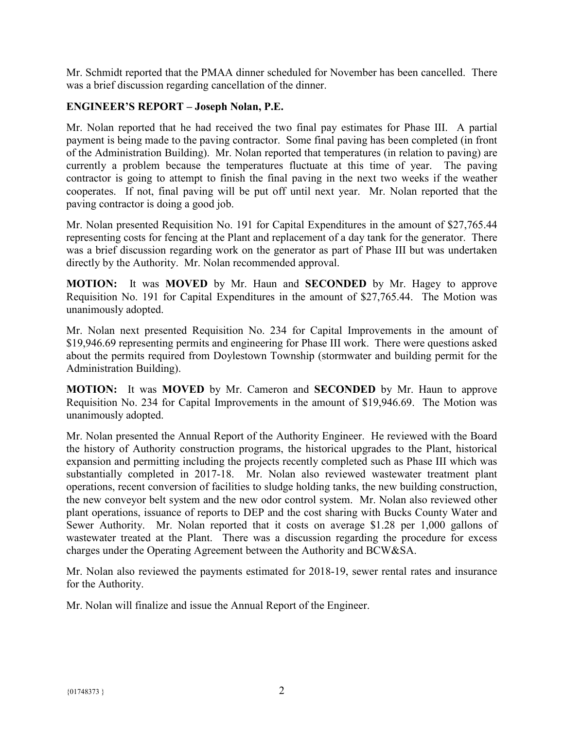Mr. Schmidt reported that the PMAA dinner scheduled for November has been cancelled. There was a brief discussion regarding cancellation of the dinner.

# **ENGINEER'S REPORT – Joseph Nolan, P.E.**

Mr. Nolan reported that he had received the two final pay estimates for Phase III. A partial payment is being made to the paving contractor. Some final paving has been completed (in front of the Administration Building). Mr. Nolan reported that temperatures (in relation to paving) are currently a problem because the temperatures fluctuate at this time of year. The paving contractor is going to attempt to finish the final paving in the next two weeks if the weather cooperates. If not, final paving will be put off until next year. Mr. Nolan reported that the paving contractor is doing a good job.

Mr. Nolan presented Requisition No. 191 for Capital Expenditures in the amount of \$27,765.44 representing costs for fencing at the Plant and replacement of a day tank for the generator. There was a brief discussion regarding work on the generator as part of Phase III but was undertaken directly by the Authority. Mr. Nolan recommended approval.

**MOTION:** It was **MOVED** by Mr. Haun and **SECONDED** by Mr. Hagey to approve Requisition No. 191 for Capital Expenditures in the amount of \$27,765.44. The Motion was unanimously adopted.

Mr. Nolan next presented Requisition No. 234 for Capital Improvements in the amount of \$19,946.69 representing permits and engineering for Phase III work. There were questions asked about the permits required from Doylestown Township (stormwater and building permit for the Administration Building).

**MOTION:** It was **MOVED** by Mr. Cameron and **SECONDED** by Mr. Haun to approve Requisition No. 234 for Capital Improvements in the amount of \$19,946.69. The Motion was unanimously adopted.

Mr. Nolan presented the Annual Report of the Authority Engineer. He reviewed with the Board the history of Authority construction programs, the historical upgrades to the Plant, historical expansion and permitting including the projects recently completed such as Phase III which was substantially completed in 2017-18. Mr. Nolan also reviewed wastewater treatment plant operations, recent conversion of facilities to sludge holding tanks, the new building construction, the new conveyor belt system and the new odor control system. Mr. Nolan also reviewed other plant operations, issuance of reports to DEP and the cost sharing with Bucks County Water and Sewer Authority. Mr. Nolan reported that it costs on average \$1.28 per 1,000 gallons of wastewater treated at the Plant. There was a discussion regarding the procedure for excess charges under the Operating Agreement between the Authority and BCW&SA.

Mr. Nolan also reviewed the payments estimated for 2018-19, sewer rental rates and insurance for the Authority.

Mr. Nolan will finalize and issue the Annual Report of the Engineer.